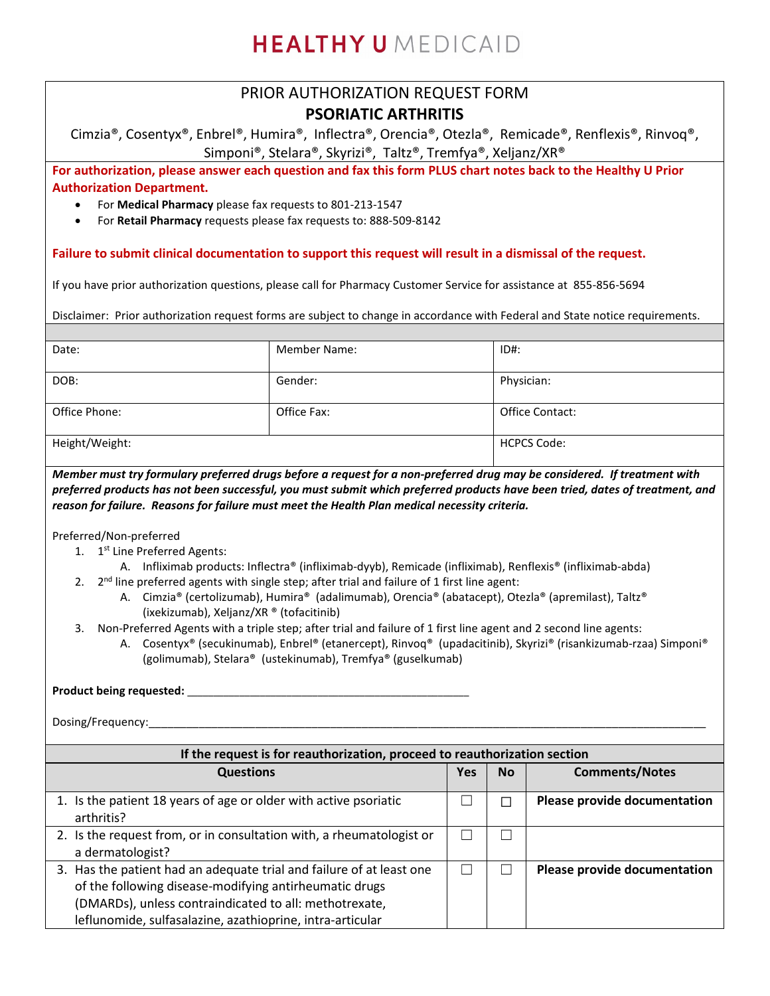# **HEALTHY U** MEDICAID

### PRIOR AUTHORIZATION REQUEST FORM **PSORIATIC ARTHRITIS**

Cimzia®, Cosentyx®, Enbrel®, Humira®, Inflectra®, Orencia®, Otezla®, Remicade®, Renflexis®, Rinvoq®, Simponi®, Stelara®, Skyrizi®, Taltz®, Tremfya®, Xeljanz/XR®

**For authorization, please answer each question and fax this form PLUS chart notes back to the Healthy U Prior Authorization Department.** 

- For **Medical Pharmacy** please fax requests to 801-213-1547
- For **Retail Pharmacy** requests please fax requests to: 888-509-8142

### **Failure to submit clinical documentation to support this request will result in a dismissal of the request.**

If you have prior authorization questions, please call for Pharmacy Customer Service for assistance at 855-856-5694

Disclaimer: Prior authorization request forms are subject to change in accordance with Federal and State notice requirements.

| Date:          | <b>Member Name:</b> | $ID#$ :            |
|----------------|---------------------|--------------------|
| DOB:           | Gender:             | Physician:         |
| Office Phone:  | Office Fax:         | Office Contact:    |
| Height/Weight: |                     | <b>HCPCS Code:</b> |

*Member must try formulary preferred drugs before a request for a non-preferred drug may be considered. If treatment with preferred products has not been successful, you must submit which preferred products have been tried, dates of treatment, and reason for failure. Reasons for failure must meet the Health Plan medical necessity criteria.*

Preferred/Non-preferred

- 1. 1<sup>st</sup> Line Preferred Agents:
	- A. Infliximab products: Inflectra® (infliximab-dyyb), Remicade (infliximab), Renflexis® (infliximab-abda)
- 2.  $2^{nd}$  line preferred agents with single step; after trial and failure of 1 first line agent:
	- A. Cimzia® (certolizumab), Humira® (adalimumab), Orencia® (abatacept), Otezla® (apremilast), Taltz® (ixekizumab), Xeljanz/XR ® (tofacitinib)
- 3. Non-Preferred Agents with a triple step; after trial and failure of 1 first line agent and 2 second line agents:
	- A. Cosentyx® (secukinumab), Enbrel® (etanercept), Rinvoq® (upadacitinib), Skyrizi® (risankizumab-rzaa) Simponi® (golimumab), Stelara® (ustekinumab), Tremfya® (guselkumab)

#### **Product being requested:** \_\_\_\_\_\_\_\_\_\_\_\_\_\_\_\_\_\_\_\_\_\_\_\_\_\_\_\_\_\_\_\_\_\_\_\_\_\_\_\_\_\_\_\_\_\_\_\_\_\_\_\_\_\_

Dosing/Frequency:

| If the request is for reauthorization, proceed to reauthorization section                                                                                                                                                                             |     |           |                              |  |
|-------------------------------------------------------------------------------------------------------------------------------------------------------------------------------------------------------------------------------------------------------|-----|-----------|------------------------------|--|
| <b>Questions</b>                                                                                                                                                                                                                                      | Yes | <b>No</b> | <b>Comments/Notes</b>        |  |
| 1. Is the patient 18 years of age or older with active psoriatic<br>arthritis?                                                                                                                                                                        |     |           | Please provide documentation |  |
| 2. Is the request from, or in consultation with, a rheumatologist or<br>a dermatologist?                                                                                                                                                              |     |           |                              |  |
| 3. Has the patient had an adequate trial and failure of at least one<br>of the following disease-modifying antirheumatic drugs<br>(DMARDs), unless contraindicated to all: methotrexate,<br>leflunomide, sulfasalazine, azathioprine, intra-articular |     |           | Please provide documentation |  |